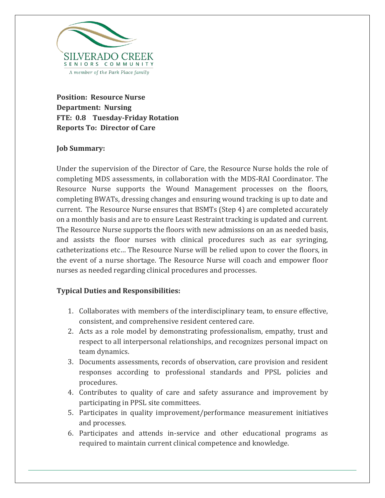

**Position: Resource Nurse Department: Nursing FTE: 0.8 Tuesday-Friday Rotation Reports To: Director of Care**

## **Job Summary:**

Under the supervision of the Director of Care, the Resource Nurse holds the role of completing MDS assessments, in collaboration with the MDS-RAI Coordinator. The Resource Nurse supports the Wound Management processes on the floors, completing BWATs, dressing changes and ensuring wound tracking is up to date and current. The Resource Nurse ensures that BSMTs (Step 4) are completed accurately on a monthly basis and are to ensure Least Restraint tracking is updated and current. The Resource Nurse supports the floors with new admissions on an as needed basis, and assists the floor nurses with clinical procedures such as ear syringing, catheterizations etc… The Resource Nurse will be relied upon to cover the floors, in the event of a nurse shortage. The Resource Nurse will coach and empower floor nurses as needed regarding clinical procedures and processes.

## **Typical Duties and Responsibilities:**

- 1. Collaborates with members of the interdisciplinary team, to ensure effective, consistent, and comprehensive resident centered care.
- 2. Acts as a role model by demonstrating professionalism, empathy, trust and respect to all interpersonal relationships, and recognizes personal impact on team dynamics.
- 3. Documents assessments, records of observation, care provision and resident responses according to professional standards and PPSL policies and procedures.
- 4. Contributes to quality of care and safety assurance and improvement by participating in PPSL site committees.
- 5. Participates in quality improvement/performance measurement initiatives and processes.
- 6. Participates and attends in-service and other educational programs as required to maintain current clinical competence and knowledge.